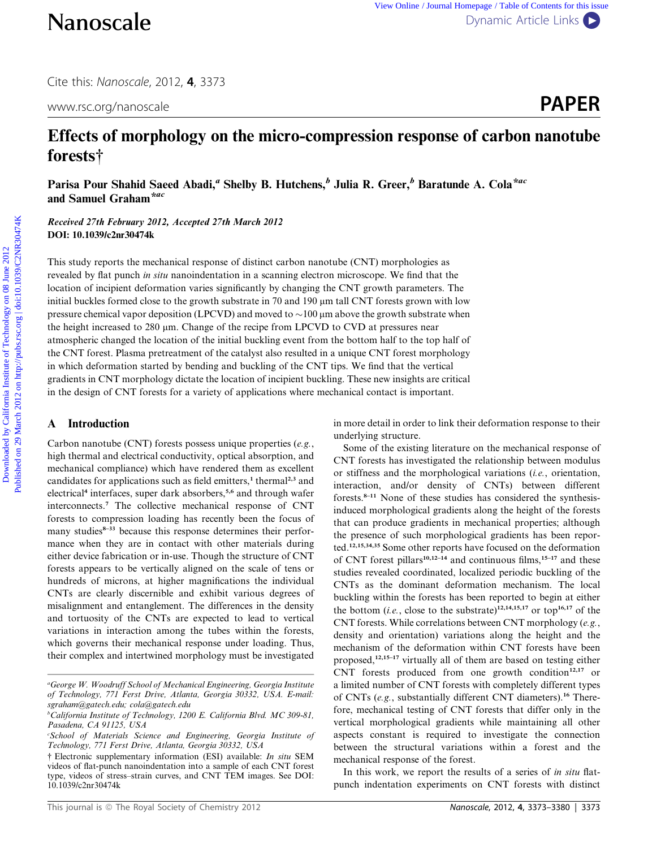Cite this: Nanoscale, 2012, <sup>4</sup>, 3373

www.rsc.org/nanoscale **PAPER** 

# Effects of morphology on the micro-compression response of carbon nanotube forests†

Parisa Pour Shahid Saeed Abadi,<sup>a</sup> Shelby B. Hutchens,<sup>b</sup> Julia R. Greer,<sup>b</sup> Baratunde A. Cola<sup>\*ac</sup> and Samuel Graham\*ac

Received 27th February 2012, Accepted 27th March 2012 DOI: 10.1039/c2nr30474k

This study reports the mechanical response of distinct carbon nanotube (CNT) morphologies as revealed by flat punch in situ nanoindentation in a scanning electron microscope. We find that the location of incipient deformation varies significantly by changing the CNT growth parameters. The initial buckles formed close to the growth substrate in  $70$  and  $190 \mu m$  tall CNT forests grown with low pressure chemical vapor deposition (LPCVD) and moved to  $\sim$ 100  $\mu$ m above the growth substrate when the height increased to  $280 \mu m$ . Change of the recipe from LPCVD to CVD at pressures near atmospheric changed the location of the initial buckling event from the bottom half to the top half of the CNT forest. Plasma pretreatment of the catalyst also resulted in a unique CNT forest morphology in which deformation started by bending and buckling of the CNT tips. We find that the vertical gradients in CNT morphology dictate the location of incipient buckling. These new insights are critical in the design of CNT forests for a variety of applications where mechanical contact is important. **Nanoscale**<br>
Circ rbis: *Nanoscale, 2012*, 4, 3373<br>
www.rsc.org/nanoscale<br> **Effects of morphology on the micro-compression response of Carbon nanotube<br>
forests<sup>4</sup><br>
Paris and Samuel Graham<sup>one</sup><br>
and Samuel Graham<sup>one</sup><br>
and** 

# A Introduction

Carbon nanotube (CNT) forests possess unique properties  $(e.g.,)$ high thermal and electrical conductivity, optical absorption, and mechanical compliance) which have rendered them as excellent candidates for applications such as field emitters,<sup>1</sup> thermal<sup>2,3</sup> and electrical<sup>4</sup> interfaces, super dark absorbers,<sup>5,6</sup> and through wafer interconnects.<sup>7</sup> The collective mechanical response of CNT forests to compression loading has recently been the focus of many studies<sup>8–33</sup> because this response determines their performance when they are in contact with other materials during either device fabrication or in-use. Though the structure of CNT forests appears to be vertically aligned on the scale of tens or hundreds of microns, at higher magnifications the individual CNTs are clearly discernible and exhibit various degrees of misalignment and entanglement. The differences in the density and tortuosity of the CNTs are expected to lead to vertical variations in interaction among the tubes within the forests, which governs their mechanical response under loading. Thus, their complex and intertwined morphology must be investigated

in more detail in order to link their deformation response to their underlying structure.

Some of the existing literature on the mechanical response of CNT forests has investigated the relationship between modulus or stiffness and the morphological variations (i.e., orientation, interaction, and/or density of CNTs) between different forests.8–11 None of these studies has considered the synthesisinduced morphological gradients along the height of the forests that can produce gradients in mechanical properties; although the presence of such morphological gradients has been reported.12,15,34,35 Some other reports have focused on the deformation of CNT forest pillars<sup>10,12–14</sup> and continuous films,<sup>15–17</sup> and these studies revealed coordinated, localized periodic buckling of the CNTs as the dominant deformation mechanism. The local buckling within the forests has been reported to begin at either the bottom (i.e., close to the substrate)<sup>12,14,15,17</sup> or top<sup>16,17</sup> of the CNT forests. While correlations between CNT morphology (e.g., density and orientation) variations along the height and the mechanism of the deformation within CNT forests have been proposed,12,15–17 virtually all of them are based on testing either CNT forests produced from one growth condition<sup>12,17</sup> or a limited number of CNT forests with completely different types of CNTs (e.g., substantially different CNT diameters).<sup>16</sup> Therefore, mechanical testing of CNT forests that differ only in the vertical morphological gradients while maintaining all other aspects constant is required to investigate the connection between the structural variations within a forest and the mechanical response of the forest.

In this work, we report the results of a series of in situ flatpunch indentation experiments on CNT forests with distinct

a George W. Woodruff School of Mechanical Engineering, Georgia Institute of Technology, 771 Ferst Drive, Atlanta, Georgia 30332, USA. E-mail: sgraham@gatech.edu; cola@gatech.edu

<sup>&</sup>lt;sup>b</sup>California Institute of Technology, 1200 E. California Blvd. MC 309-81, Pasadena, CA 91125, USA

c School of Materials Science and Engineering, Georgia Institute of Technology, 771 Ferst Drive, Atlanta, Georgia 30332, USA

<sup>†</sup> Electronic supplementary information (ESI) available: In situ SEM videos of flat-punch nanoindentation into a sample of each CNT forest type, videos of stress–strain curves, and CNT TEM images. See DOI: 10.1039/c2nr30474k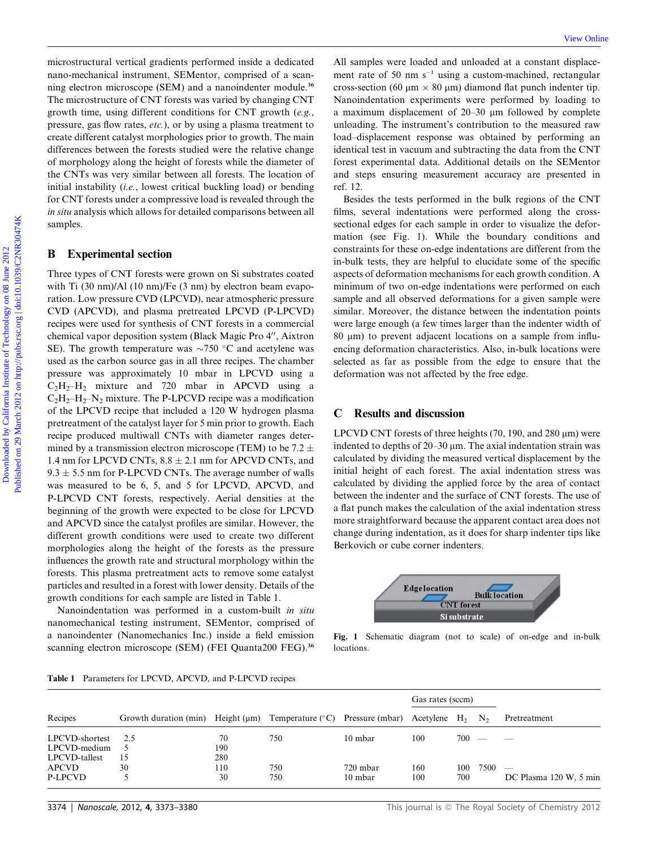microstructural vertical gradients performed inside a dedicated nano-mechanical instrument, SEMentor, comprised of a scanning electron microscope (SEM) and a nanoindenter module.<sup>36</sup> The microstructure of CNT forests was varied by changing CNT growth time, using different conditions for CNT growth (e.g., pressure, gas flow rates, etc.), or by using a plasma treatment to create different catalyst morphologies prior to growth. The main differences between the forests studied were the relative change of morphology along the height of forests while the diameter of the CNTs was very similar between all forests. The location of initial instability *(i.e., lowest critical buckling load)* or bending for CNT forests under a compressive load is revealed through the in situ analysis which allows for detailed comparisons between all samples.

# B Experimental section

Three types of CNT forests were grown on Si substrates coated with Ti (30 nm)/Al (10 nm)/Fe (3 nm) by electron beam evaporation. Low pressure CVD (LPCVD), near atmospheric pressure CVD (APCVD), and plasma pretreated LPCVD (P-LPCVD) recipes were used for synthesis of CNT forests in a commercial chemical vapor deposition system (Black Magic Pro 4", Aixtron SE). The growth temperature was  $\sim$ 750 °C and acetylene was used as the carbon source gas in all three recipes. The chamber pressure was approximately 10 mbar in LPCVD using a  $C_2H_2-H_2$  mixture and 720 mbar in APCVD using a  $C_2H_2-H_2-N_2$  mixture. The P-LPCVD recipe was a modification of the LPCVD recipe that included a 120 W hydrogen plasma pretreatment of the catalyst layer for 5 min prior to growth. Each recipe produced multiwall CNTs with diameter ranges determined by a transmission electron microscope (TEM) to be 7.2  $\pm$ 1.4 nm for LPCVD CNTs,  $8.8 \pm 2.1$  nm for APCVD CNTs, and  $9.3 \pm 5.5$  nm for P-LPCVD CNTs. The average number of walls was measured to be 6, 5, and 5 for LPCVD, APCVD, and P-LPCVD CNT forests, respectively. Aerial densities at the beginning of the growth were expected to be close for LPCVD and APCVD since the catalyst profiles are similar. However, the different growth conditions were used to create two different morphologies along the height of the forests as the pressure influences the growth rate and structural morphology within the forests. This plasma pretreatment acts to remove some catalyst particles and resulted in a forest with lower density. Details of the growth conditions for each sample are listed in Table 1. misos translational serviced by California Institute of Normalism All samples sees insided and substabilities of the numerical SNA services on production and the of O m s V sing a construction of Technology on the state o

Nanoindentation was performed in a custom-built in situ nanomechanical testing instrument, SEMentor, comprised of a nanoindenter (Nanomechanics Inc.) inside a field emission scanning electron microscope (SEM) (FEI Quanta200 FEG).<sup>36</sup>

All samples were loaded and unloaded at a constant displacement rate of 50 nm  $s^{-1}$  using a custom-machined, rectangular cross-section (60  $\mu$ m  $\times$  80  $\mu$ m) diamond flat punch indenter tip. Nanoindentation experiments were performed by loading to a maximum displacement of  $20-30 \mu m$  followed by complete unloading. The instrument's contribution to the measured raw load–displacement response was obtained by performing an identical test in vacuum and subtracting the data from the CNT forest experimental data. Additional details on the SEMentor and steps ensuring measurement accuracy are presented in ref. 12.

Besides the tests performed in the bulk regions of the CNT films, several indentations were performed along the crosssectional edges for each sample in order to visualize the deformation (see Fig. 1). While the boundary conditions and constraints for these on-edge indentations are different from the in-bulk tests, they are helpful to elucidate some of the specific aspects of deformation mechanisms for each growth condition. A minimum of two on-edge indentations were performed on each sample and all observed deformations for a given sample were similar. Moreover, the distance between the indentation points were large enough (a few times larger than the indenter width of  $80 \mu m$ ) to prevent adjacent locations on a sample from influencing deformation characteristics. Also, in-bulk locations were selected as far as possible from the edge to ensure that the deformation was not affected by the free edge.

## C Results and discussion

LPCVD CNT forests of three heights (70, 190, and 280  $\mu$ m) were indented to depths of  $20-30 \mu m$ . The axial indentation strain was calculated by dividing the measured vertical displacement by the initial height of each forest. The axial indentation stress was calculated by dividing the applied force by the area of contact between the indenter and the surface of CNT forests. The use of a flat punch makes the calculation of the axial indentation stress more straightforward because the apparent contact area does not change during indentation, as it does for sharp indenter tips like Berkovich or cube corner indenters.



Fig. 1 Schematic diagram (not to scale) of on-edge and in-bulk locations.

|  | <b>Table 1</b> Parameters for LPCVD, APCVD, and P-LPCVD recipes |  |  |  |  |  |  |
|--|-----------------------------------------------------------------|--|--|--|--|--|--|
|--|-----------------------------------------------------------------|--|--|--|--|--|--|

|                |                       |                  |                                                                     |           | Gas rates (sccm) |     |                |                               |
|----------------|-----------------------|------------------|---------------------------------------------------------------------|-----------|------------------|-----|----------------|-------------------------------|
| Recipes        | Growth duration (min) | Height $(\mu m)$ | Temperature ( $\degree$ C) Pressure (mbar) Acetylene H <sub>2</sub> |           |                  |     | N <sub>2</sub> | Pretreatment                  |
| LPCVD-shortest | 2.5                   | 70               | 750                                                                 | $10$ mbar | 100              | 700 |                |                               |
| LPCVD-medium   |                       | 190              |                                                                     |           |                  |     |                |                               |
| LPCVD-tallest  | 15                    | 280              |                                                                     |           |                  |     |                |                               |
| <b>APCVD</b>   | 30                    | 110              | 750                                                                 | 720 mbar  | 160              | 100 | 7500           | $\overbrace{\phantom{12332}}$ |
| <b>P-LPCVD</b> |                       | 30               | 750                                                                 | 10 mbar   | 100              | 700 |                | DC Plasma 120 W, 5 min        |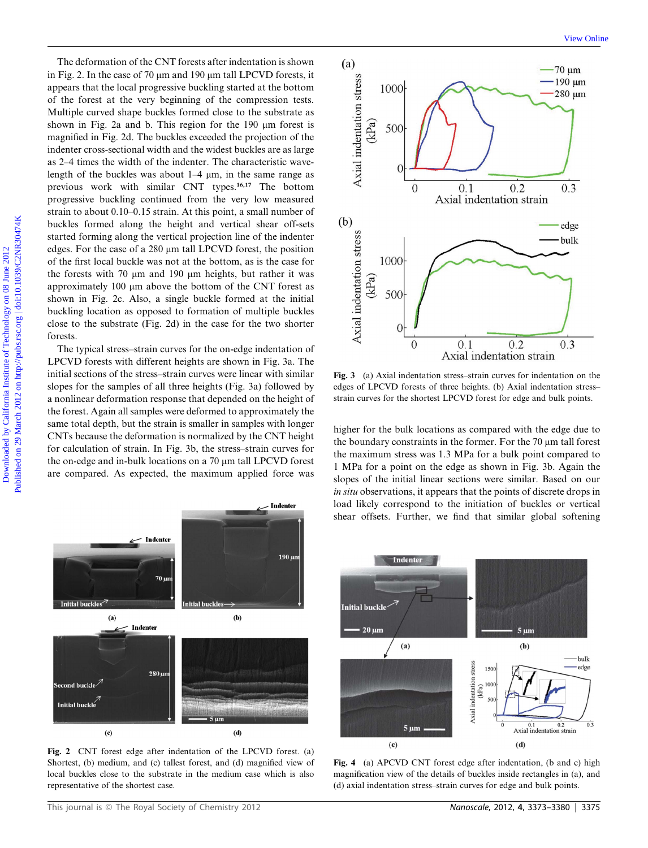The deformation of the CNT forests after indentation is shown in Fig. 2. In the case of 70  $\mu$ m and 190  $\mu$ m tall LPCVD forests, it appears that the local progressive buckling started at the bottom of the forest at the very beginning of the compression tests. Multiple curved shape buckles formed close to the substrate as shown in Fig. 2a and b. This region for the  $190 \mu m$  forest is magnified in Fig. 2d. The buckles exceeded the projection of the indenter cross-sectional width and the widest buckles are as large as 2–4 times the width of the indenter. The characteristic wavelength of the buckles was about  $1-4 \mu m$ , in the same range as previous work with similar CNT types.16,17 The bottom progressive buckling continued from the very low measured strain to about 0.10–0.15 strain. At this point, a small number of buckles formed along the height and vertical shear off-sets started forming along the vertical projection line of the indenter edges. For the case of a 280 µm tall LPCVD forest, the position of the first local buckle was not at the bottom, as is the case for the forests with  $70 \mu m$  and  $190 \mu m$  heights, but rather it was approximately 100  $\mu$ m above the bottom of the CNT forest as shown in Fig. 2c. Also, a single buckle formed at the initial buckling location as opposed to formation of multiple buckles close to the substrate (Fig. 2d) in the case for the two shorter forests.

The typical stress–strain curves for the on-edge indentation of LPCVD forests with different heights are shown in Fig. 3a. The initial sections of the stress–strain curves were linear with similar slopes for the samples of all three heights (Fig. 3a) followed by a nonlinear deformation response that depended on the height of the forest. Again all samples were deformed to approximately the same total depth, but the strain is smaller in samples with longer CNTs because the deformation is normalized by the CNT height for calculation of strain. In Fig. 3b, the stress–strain curves for the on-edge and in-bulk locations on a 70 µm tall LPCVD forest are compared. As expected, the maximum applied force was



Fig. 2 CNT forest edge after indentation of the LPCVD forest. (a) Shortest, (b) medium, and (c) tallest forest, and (d) magnified view of local buckles close to the substrate in the medium case which is also representative of the shortest case.



Fig. 3 (a) Axial indentation stress–strain curves for indentation on the edges of LPCVD forests of three heights. (b) Axial indentation stress– strain curves for the shortest LPCVD forest for edge and bulk points.

higher for the bulk locations as compared with the edge due to the boundary constraints in the former. For the  $70 \mu m$  tall forest the maximum stress was 1.3 MPa for a bulk point compared to 1 MPa for a point on the edge as shown in Fig. 3b. Again the slopes of the initial linear sections were similar. Based on our in situ observations, it appears that the points of discrete drops in load likely correspond to the initiation of buckles or vertical shear offsets. Further, we find that similar global softening



Fig. 4 (a) APCVD CNT forest edge after indentation, (b and c) high magnification view of the details of buckles inside rectangles in (a), and (d) axial indentation stress–strain curves for edge and bulk points.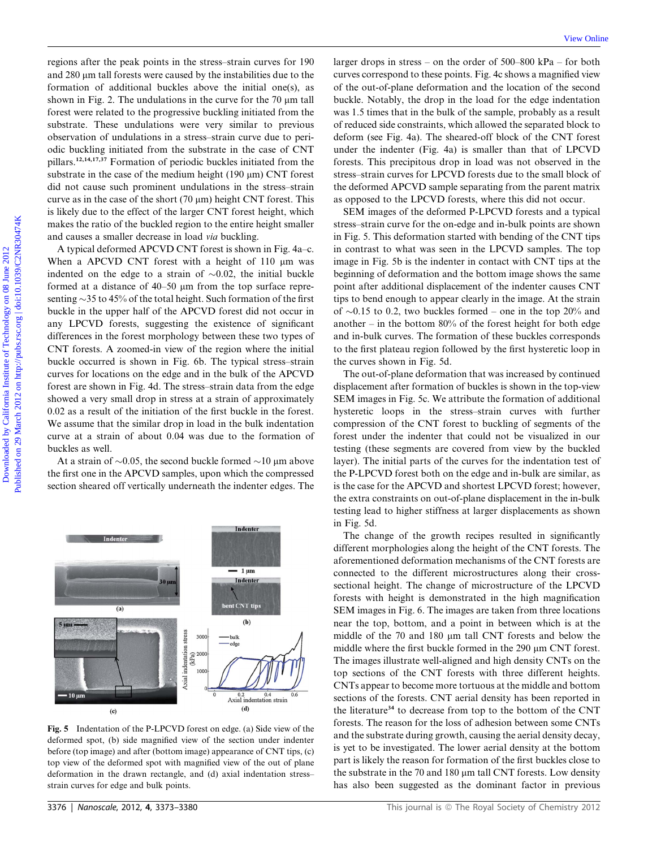regions after the peak points in the stress–strain curves for 190 and 280 µm tall forests were caused by the instabilities due to the formation of additional buckles above the initial one(s), as shown in Fig. 2. The undulations in the curve for the  $70 \mu m$  tall forest were related to the progressive buckling initiated from the substrate. These undulations were very similar to previous observation of undulations in a stress–strain curve due to periodic buckling initiated from the substrate in the case of CNT pillars.12,14,17,37 Formation of periodic buckles initiated from the substrate in the case of the medium height (190  $\mu$ m) CNT forest did not cause such prominent undulations in the stress–strain curve as in the case of the short  $(70 \,\mu m)$  height CNT forest. This is likely due to the effect of the larger CNT forest height, which makes the ratio of the buckled region to the entire height smaller and causes a smaller decrease in load via buckling.

A typical deformed APCVD CNT forest is shown in Fig. 4a–c. When a APCVD CNT forest with a height of 110 µm was indented on the edge to a strain of  $\sim 0.02$ , the initial buckle formed at a distance of  $40-50 \mu m$  from the top surface representing  $\sim$ 35 to 45% of the total height. Such formation of the first buckle in the upper half of the APCVD forest did not occur in any LPCVD forests, suggesting the existence of significant differences in the forest morphology between these two types of CNT forests. A zoomed-in view of the region where the initial buckle occurred is shown in Fig. 6b. The typical stress–strain curves for locations on the edge and in the bulk of the APCVD forest are shown in Fig. 4d. The stress–strain data from the edge showed a very small drop in stress at a strain of approximately 0.02 as a result of the initiation of the first buckle in the forest. We assume that the similar drop in load in the bulk indentation curve at a strain of about 0.04 was due to the formation of buckles as well. regions after the peak points in the steads strain curves for 190 argor dorm in states. on the under of S00 500.18% for Technology on Differences are considered to the points Fig. 6 doi:near and 2013 on the matter of Tech

At a strain of  $\sim 0.05$ , the second buckle formed  $\sim 10 \mu$ m above the first one in the APCVD samples, upon which the compressed section sheared off vertically underneath the indenter edges. The



Fig. 5 Indentation of the P-LPCVD forest on edge. (a) Side view of the deformed spot, (b) side magnified view of the section under indenter before (top image) and after (bottom image) appearance of CNT tips, (c) top view of the deformed spot with magnified view of the out of plane deformation in the drawn rectangle, and (d) axial indentation stress– strain curves for edge and bulk points.

larger drops in stress – on the order of  $500-800$  kPa – for both curves correspond to these points. Fig. 4c shows a magnified view of the out-of-plane deformation and the location of the second buckle. Notably, the drop in the load for the edge indentation was 1.5 times that in the bulk of the sample, probably as a result of reduced side constraints, which allowed the separated block to deform (see Fig. 4a). The sheared-off block of the CNT forest under the indenter (Fig. 4a) is smaller than that of LPCVD forests. This precipitous drop in load was not observed in the stress–strain curves for LPCVD forests due to the small block of the deformed APCVD sample separating from the parent matrix as opposed to the LPCVD forests, where this did not occur.

SEM images of the deformed P-LPCVD forests and a typical stress–strain curve for the on-edge and in-bulk points are shown in Fig. 5. This deformation started with bending of the CNT tips in contrast to what was seen in the LPCVD samples. The top image in Fig. 5b is the indenter in contact with CNT tips at the beginning of deformation and the bottom image shows the same point after additional displacement of the indenter causes CNT tips to bend enough to appear clearly in the image. At the strain of  $\sim$ 0.15 to 0.2, two buckles formed – one in the top 20% and another – in the bottom  $80\%$  of the forest height for both edge and in-bulk curves. The formation of these buckles corresponds to the first plateau region followed by the first hysteretic loop in the curves shown in Fig. 5d.

The out-of-plane deformation that was increased by continued displacement after formation of buckles is shown in the top-view SEM images in Fig. 5c. We attribute the formation of additional hysteretic loops in the stress–strain curves with further compression of the CNT forest to buckling of segments of the forest under the indenter that could not be visualized in our testing (these segments are covered from view by the buckled layer). The initial parts of the curves for the indentation test of the P-LPCVD forest both on the edge and in-bulk are similar, as is the case for the APCVD and shortest LPCVD forest; however, the extra constraints on out-of-plane displacement in the in-bulk testing lead to higher stiffness at larger displacements as shown in Fig. 5d.

The change of the growth recipes resulted in significantly different morphologies along the height of the CNT forests. The aforementioned deformation mechanisms of the CNT forests are connected to the different microstructures along their crosssectional height. The change of microstructure of the LPCVD forests with height is demonstrated in the high magnification SEM images in Fig. 6. The images are taken from three locations near the top, bottom, and a point in between which is at the middle of the 70 and 180 µm tall CNT forests and below the middle where the first buckle formed in the  $290 \mu m$  CNT forest. The images illustrate well-aligned and high density CNTs on the top sections of the CNT forests with three different heights. CNTs appear to become more tortuous at the middle and bottom sections of the forests. CNT aerial density has been reported in the literature<sup>34</sup> to decrease from top to the bottom of the CNT forests. The reason for the loss of adhesion between some CNTs and the substrate during growth, causing the aerial density decay, is yet to be investigated. The lower aerial density at the bottom part is likely the reason for formation of the first buckles close to the substrate in the 70 and 180  $\mu$ m tall CNT forests. Low density has also been suggested as the dominant factor in previous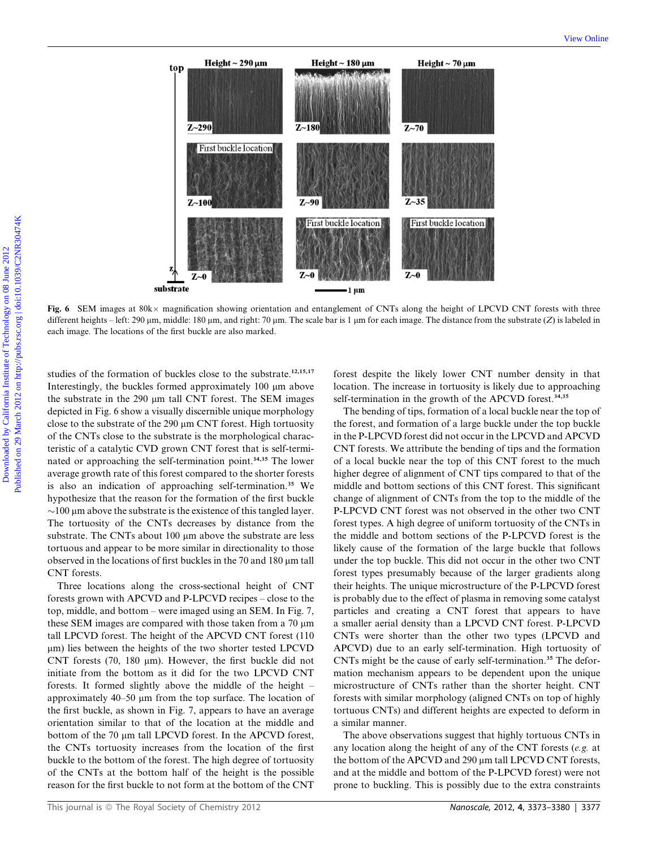

Fig. 6 SEM images at  $80k \times$  magnification showing orientation and entanglement of CNTs along the height of LPCVD CNT forests with three different heights – left: 290  $\mu$ m, middle: 180  $\mu$ m, and right: 70  $\mu$ m. The scale bar is 1  $\mu$ m for each image. The distance from the substrate (Z) is labeled in each image. The locations of the first buckle are also marked.

studies of the formation of buckles close to the substrate.<sup>12,15,17</sup> Interestingly, the buckles formed approximately  $100 \mu m$  above the substrate in the 290 µm tall CNT forest. The SEM images depicted in Fig. 6 show a visually discernible unique morphology close to the substrate of the 290 µm CNT forest. High tortuosity of the CNTs close to the substrate is the morphological characteristic of a catalytic CVD grown CNT forest that is self-terminated or approaching the self-termination point.<sup>34,35</sup> The lower average growth rate of this forest compared to the shorter forests is also an indication of approaching self-termination.<sup>35</sup> We hypothesize that the reason for the formation of the first buckle  $\sim$ 100 µm above the substrate is the existence of this tangled layer. The tortuosity of the CNTs decreases by distance from the substrate. The CNTs about 100 µm above the substrate are less tortuous and appear to be more similar in directionality to those observed in the locations of first buckles in the 70 and 180  $\mu$ m tall CNT forests.

Three locations along the cross-sectional height of CNT forests grown with APCVD and P-LPCVD recipes – close to the top, middle, and bottom – were imaged using an SEM. In Fig. 7, these SEM images are compared with those taken from a 70  $\mu$ m tall LPCVD forest. The height of the APCVD CNT forest (110  $\mu$ m) lies between the heights of the two shorter tested LPCVD CNT forests  $(70, 180 \mu m)$ . However, the first buckle did not initiate from the bottom as it did for the two LPCVD CNT forests. It formed slightly above the middle of the height – approximately  $40-50 \mu m$  from the top surface. The location of the first buckle, as shown in Fig. 7, appears to have an average orientation similar to that of the location at the middle and bottom of the 70 µm tall LPCVD forest. In the APCVD forest, the CNTs tortuosity increases from the location of the first buckle to the bottom of the forest. The high degree of tortuosity of the CNTs at the bottom half of the height is the possible reason for the first buckle to not form at the bottom of the CNT

forest despite the likely lower CNT number density in that location. The increase in tortuosity is likely due to approaching self-termination in the growth of the APCVD forest.<sup>34,35</sup>

The bending of tips, formation of a local buckle near the top of the forest, and formation of a large buckle under the top buckle in the P-LPCVD forest did not occur in the LPCVD and APCVD CNT forests. We attribute the bending of tips and the formation of a local buckle near the top of this CNT forest to the much higher degree of alignment of CNT tips compared to that of the middle and bottom sections of this CNT forest. This significant change of alignment of CNTs from the top to the middle of the P-LPCVD CNT forest was not observed in the other two CNT forest types. A high degree of uniform tortuosity of the CNTs in the middle and bottom sections of the P-LPCVD forest is the likely cause of the formation of the large buckle that follows under the top buckle. This did not occur in the other two CNT forest types presumably because of the larger gradients along their heights. The unique microstructure of the P-LPCVD forest is probably due to the effect of plasma in removing some catalyst particles and creating a CNT forest that appears to have a smaller aerial density than a LPCVD CNT forest. P-LPCVD CNTs were shorter than the other two types (LPCVD and APCVD) due to an early self-termination. High tortuosity of CNTs might be the cause of early self-termination.<sup>35</sup> The deformation mechanism appears to be dependent upon the unique microstructure of CNTs rather than the shorter height. CNT forests with similar morphology (aligned CNTs on top of highly tortuous CNTs) and different heights are expected to deform in a similar manner.

The above observations suggest that highly tortuous CNTs in any location along the height of any of the CNT forests (e.g. at the bottom of the APCVD and 290  $\mu$ m tall LPCVD CNT forests, and at the middle and bottom of the P-LPCVD forest) were not prone to buckling. This is possibly due to the extra constraints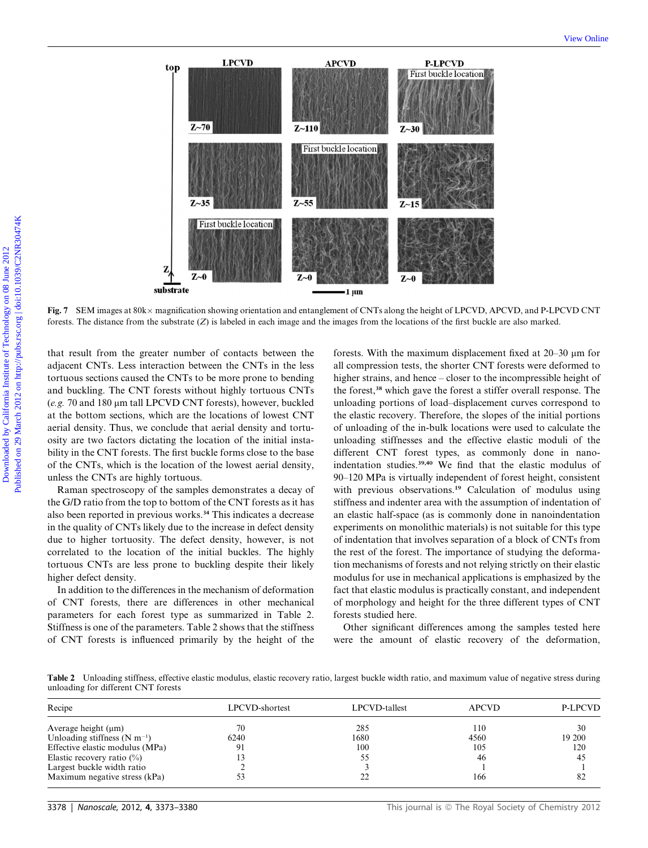

Fig. 7 SEM images at 80k x magnification showing orientation and entanglement of CNTs along the height of LPCVD, APCVD, and P-LPCVD CNT forests. The distance from the substrate  $(Z)$  is labeled in each image and the images from the locations of the first buckle are also marked.

that result from the greater number of contacts between the adjacent CNTs. Less interaction between the CNTs in the less tortuous sections caused the CNTs to be more prone to bending and buckling. The CNT forests without highly tortuous CNTs (e.g. 70 and 180  $\mu$ m tall LPCVD CNT forests), however, buckled at the bottom sections, which are the locations of lowest CNT aerial density. Thus, we conclude that aerial density and tortuosity are two factors dictating the location of the initial instability in the CNT forests. The first buckle forms close to the base of the CNTs, which is the location of the lowest aerial density, unless the CNTs are highly tortuous.

Raman spectroscopy of the samples demonstrates a decay of the G/D ratio from the top to bottom of the CNT forests as it has also been reported in previous works.<sup>34</sup> This indicates a decrease in the quality of CNTs likely due to the increase in defect density due to higher tortuosity. The defect density, however, is not correlated to the location of the initial buckles. The highly tortuous CNTs are less prone to buckling despite their likely higher defect density.

In addition to the differences in the mechanism of deformation of CNT forests, there are differences in other mechanical parameters for each forest type as summarized in Table 2. Stiffness is one of the parameters. Table 2 shows that the stiffness of CNT forests is influenced primarily by the height of the

forests. With the maximum displacement fixed at  $20-30 \mu m$  for all compression tests, the shorter CNT forests were deformed to higher strains, and hence – closer to the incompressible height of the forest,<sup>38</sup> which gave the forest a stiffer overall response. The unloading portions of load–displacement curves correspond to the elastic recovery. Therefore, the slopes of the initial portions of unloading of the in-bulk locations were used to calculate the unloading stiffnesses and the effective elastic moduli of the different CNT forest types, as commonly done in nanoindentation studies.39,40 We find that the elastic modulus of 90–120 MPa is virtually independent of forest height, consistent with previous observations.<sup>19</sup> Calculation of modulus using stiffness and indenter area with the assumption of indentation of an elastic half-space (as is commonly done in nanoindentation experiments on monolithic materials) is not suitable for this type of indentation that involves separation of a block of CNTs from the rest of the forest. The importance of studying the deformation mechanisms of forests and not relying strictly on their elastic modulus for use in mechanical applications is emphasized by the fact that elastic modulus is practically constant, and independent of morphology and height for the three different types of CNT forests studied here.

Other significant differences among the samples tested here were the amount of elastic recovery of the deformation,

Table 2 Unloading stiffness, effective elastic modulus, elastic recovery ratio, largest buckle width ratio, and maximum value of negative stress during unloading for different CNT forests

| Recipe                                   | LPCVD-shortest | LPCVD-tallest | <b>APCVD</b> | <b>P-LPCVD</b> |
|------------------------------------------|----------------|---------------|--------------|----------------|
| Average height $(\mu m)$                 | 70             | 285           | 110          | 30             |
| Unloading stiffness $(N \text{ m}^{-1})$ | 6240           | 1680          | 4560         | 19 200         |
| Effective elastic modulus (MPa)          | 91             | 100           | 105          | 120            |
| Elastic recovery ratio $(\%)$            | 13             | 55            | 46           | 45             |
| Largest buckle width ratio               |                |               |              |                |
| Maximum negative stress (kPa)            | 53             | າາ            | 166          | 82             |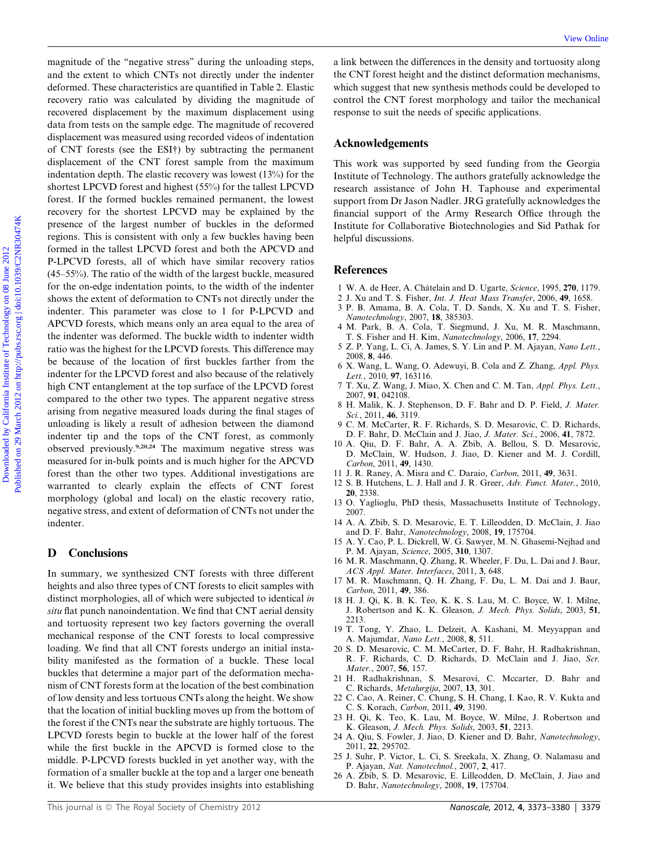magnitude of the ''negative stress'' during the unloading steps, and the extent to which CNTs not directly under the indenter deformed. These characteristics are quantified in Table 2. Elastic recovery ratio was calculated by dividing the magnitude of recovered displacement by the maximum displacement using data from tests on the sample edge. The magnitude of recovered displacement was measured using recorded videos of indentation of CNT forests (see the ESI†) by subtracting the permanent displacement of the CNT forest sample from the maximum indentation depth. The elastic recovery was lowest (13%) for the shortest LPCVD forest and highest (55%) for the tallest LPCVD forest. If the formed buckles remained permanent, the lowest recovery for the shortest LPCVD may be explained by the presence of the largest number of buckles in the deformed regions. This is consistent with only a few buckles having been formed in the tallest LPCVD forest and both the APCVD and P-LPCVD forests, all of which have similar recovery ratios (45–55%). The ratio of the width of the largest buckle, measured for the on-edge indentation points, to the width of the indenter shows the extent of deformation to CNTs not directly under the indenter. This parameter was close to 1 for P-LPCVD and APCVD forests, which means only an area equal to the area of the indenter was deformed. The buckle width to indenter width ratio was the highest for the LPCVD forests. This difference may be because of the location of first buckles farther from the indenter for the LPCVD forest and also because of the relatively high CNT entanglement at the top surface of the LPCVD forest compared to the other two types. The apparent negative stress arising from negative measured loads during the final stages of unloading is likely a result of adhesion between the diamond indenter tip and the tops of the CNT forest, as commonly observed previously.9,20,24 The maximum negative stress was measured for in-bulk points and is much higher for the APCVD forest than the other two types. Additional investigations are warranted to clearly explain the effects of CNT forest morphology (global and local) on the elastic recovery ratio, negative stress, and extent of deformation of CNTs not under the indenter. **Download of the "spanion area"** during the and<br>said shape at the shape and the california Institute of Technology on the CM form of the california Institute of the california Institute of the california Institute of the

#### D Conclusions

In summary, we synthesized CNT forests with three different heights and also three types of CNT forests to elicit samples with distinct morphologies, all of which were subjected to identical in situ flat punch nanoindentation. We find that CNT aerial density and tortuosity represent two key factors governing the overall mechanical response of the CNT forests to local compressive loading. We find that all CNT forests undergo an initial instability manifested as the formation of a buckle. These local buckles that determine a major part of the deformation mechanism of CNT forests form at the location of the best combination of low density and less tortuous CNTs along the height. We show that the location of initial buckling moves up from the bottom of the forest if the CNTs near the substrate are highly tortuous. The LPCVD forests begin to buckle at the lower half of the forest while the first buckle in the APCVD is formed close to the middle. P-LPCVD forests buckled in yet another way, with the formation of a smaller buckle at the top and a larger one beneath it. We believe that this study provides insights into establishing

a link between the differences in the density and tortuosity along the CNT forest height and the distinct deformation mechanisms, which suggest that new synthesis methods could be developed to control the CNT forest morphology and tailor the mechanical response to suit the needs of specific applications.

### Acknowledgements

This work was supported by seed funding from the Georgia Institute of Technology. The authors gratefully acknowledge the research assistance of John H. Taphouse and experimental support from Dr Jason Nadler. JRG gratefully acknowledges the financial support of the Army Research Office through the Institute for Collaborative Biotechnologies and Sid Pathak for helpful discussions.

### References

- 1 W. A. de Heer, A. Ch^atelain and D. Ugarte, Science, 1995, 270, 1179.
- 2 J. Xu and T. S. Fisher, Int. J. Heat Mass Transfer, 2006, 49, 1658.
- 3 P. B. Amama, B. A. Cola, T. D. Sands, X. Xu and T. S. Fisher, Nanotechnology, 2007, 18, 385303.
- 4 M. Park, B. A. Cola, T. Siegmund, J. Xu, M. R. Maschmann, T. S. Fisher and H. Kim, Nanotechnology, 2006, 17, 2294.
- 5 Z. P. Yang, L. Ci, A. James, S. Y. Lin and P. M. Ajayan, Nano Lett., 2008, 8, 446.
- 6 X. Wang, L. Wang, O. Adewuyi, B. Cola and Z. Zhang, Appl. Phys. Lett., 2010, 97, 163116.
- 7 T. Xu, Z. Wang, J. Miao, X. Chen and C. M. Tan, Appl. Phys. Lett., 2007, 91, 042108.
- 8 H. Malik, K. J. Stephenson, D. F. Bahr and D. P. Field, J. Mater. Sci., 2011, 46, 3119.
- 9 C. M. McCarter, R. F. Richards, S. D. Mesarovic, C. D. Richards, D. F. Bahr, D. McClain and J. Jiao, J. Mater. Sci., 2006, 41, 7872.
- 10 A. Qiu, D. F. Bahr, A. A. Zbib, A. Bellou, S. D. Mesarovic, D. McClain, W. Hudson, J. Jiao, D. Kiener and M. J. Cordill, Carbon, 2011, 49, 1430.
- 11 J. R. Raney, A. Misra and C. Daraio, Carbon, 2011, 49, 3631.
- 12 S. B. Hutchens, L. J. Hall and J. R. Greer, Adv. Funct. Mater., 2010, 20, 2338.
- 13 O. Yaglioglu, PhD thesis, Massachusetts Institute of Technology, 2007.
- 14 A. A. Zbib, S. D. Mesarovic, E. T. Lilleodden, D. McClain, J. Jiao and D. F. Bahr, Nanotechnology, 2008, 19, 175704.
- 15 A. Y. Cao, P. L. Dickrell, W. G. Sawyer, M. N. Ghasemi-Nejhad and P. M. Ajayan, Science, 2005, 310, 1307.
- 16 M. R. Maschmann, Q. Zhang, R. Wheeler, F. Du, L. Dai and J. Baur, ACS Appl. Mater. Interfaces, 2011, 3, 648.
- 17 M. R. Maschmann, Q. H. Zhang, F. Du, L. M. Dai and J. Baur, Carbon, 2011, 49, 386.
- 18 H. J. Qi, K. B. K. Teo, K. K. S. Lau, M. C. Boyce, W. I. Milne, J. Robertson and K. K. Gleason, J. Mech. Phys. Solids, 2003, 51, 2213.
- 19 T. Tong, Y. Zhao, L. Delzeit, A. Kashani, M. Meyyappan and A. Majumdar, Nano Lett., 2008, 8, 511.
- 20 S. D. Mesarovic, C. M. McCarter, D. F. Bahr, H. Radhakrishnan, R. F. Richards, C. D. Richards, D. McClain and J. Jiao, Scr. Mater., 2007, 56, 157.
- 21 H. Radhakrishnan, S. Mesarovi, C. Mccarter, D. Bahr and C. Richards, Metalurgija, 2007, 13, 301.
- 22 C. Cao, A. Reiner, C. Chung, S. H. Chang, I. Kao, R. V. Kukta and C. S. Korach, Carbon, 2011, 49, 3190.
- 23 H. Qi, K. Teo, K. Lau, M. Boyce, W. Milne, J. Robertson and K. Gleason, J. Mech. Phys. Solids, 2003, 51, 2213.
- 24 A. Qiu, S. Fowler, J. Jiao, D. Kiener and D. Bahr, Nanotechnology, 2011, 22, 295702.
- 25 J. Suhr, P. Victor, L. Ci, S. Sreekala, X. Zhang, O. Nalamasu and P. Ajayan, Nat. Nanotechnol., 2007, 2, 417.
- 26 A. Zbib, S. D. Mesarovic, E. Lilleodden, D. McClain, J. Jiao and D. Bahr, Nanotechnology, 2008, 19, 175704.